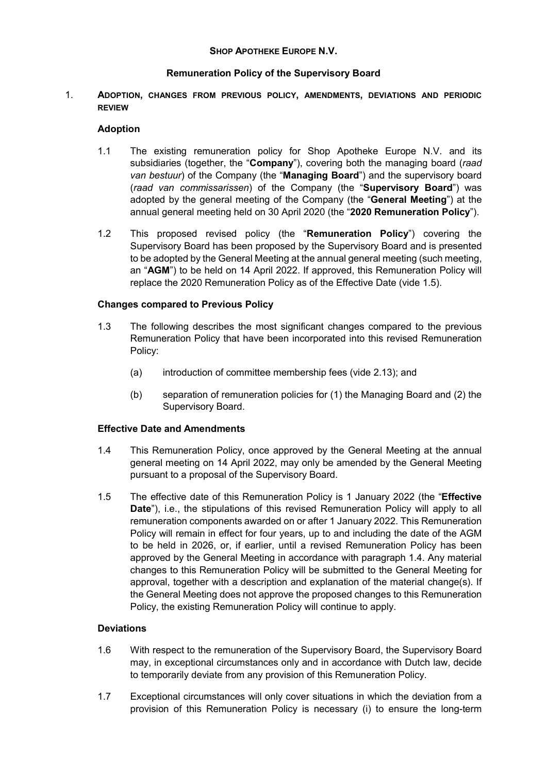## SHOP APOTHEKE EUROPE N.V.

# Remuneration Policy of the Supervisory Board

1. ADOPTION, CHANGES FROM PREVIOUS POLICY, AMENDMENTS, DEVIATIONS AND PERIODIC REVIEW

## Adoption

- 1.1 The existing remuneration policy for Shop Apotheke Europe N.V. and its subsidiaries (together, the "Company"), covering both the managing board (raad van bestuur) of the Company (the "Managing Board") and the supervisory board (raad van commissarissen) of the Company (the "Supervisory Board") was adopted by the general meeting of the Company (the "General Meeting") at the annual general meeting held on 30 April 2020 (the "2020 Remuneration Policy").
- 1.2 This proposed revised policy (the "Remuneration Policy") covering the Supervisory Board has been proposed by the Supervisory Board and is presented to be adopted by the General Meeting at the annual general meeting (such meeting, an "AGM") to be held on 14 April 2022. If approved, this Remuneration Policy will replace the 2020 Remuneration Policy as of the Effective Date (vide 1.5).

# Changes compared to Previous Policy

- 1.3 The following describes the most significant changes compared to the previous Remuneration Policy that have been incorporated into this revised Remuneration Policy:
	- (a) introduction of committee membership fees (vide 2.13); and
	- (b) separation of remuneration policies for (1) the Managing Board and (2) the Supervisory Board.

### Effective Date and Amendments

- 1.4 This Remuneration Policy, once approved by the General Meeting at the annual general meeting on 14 April 2022, may only be amended by the General Meeting pursuant to a proposal of the Supervisory Board.
- 1.5 The effective date of this Remuneration Policy is 1 January 2022 (the "Effective Date"), i.e., the stipulations of this revised Remuneration Policy will apply to all remuneration components awarded on or after 1 January 2022. This Remuneration Policy will remain in effect for four years, up to and including the date of the AGM to be held in 2026, or, if earlier, until a revised Remuneration Policy has been approved by the General Meeting in accordance with paragraph 1.4. Any material changes to this Remuneration Policy will be submitted to the General Meeting for approval, together with a description and explanation of the material change(s). If the General Meeting does not approve the proposed changes to this Remuneration Policy, the existing Remuneration Policy will continue to apply.

### **Deviations**

- 1.6 With respect to the remuneration of the Supervisory Board, the Supervisory Board may, in exceptional circumstances only and in accordance with Dutch law, decide to temporarily deviate from any provision of this Remuneration Policy.
- 1.7 Exceptional circumstances will only cover situations in which the deviation from a provision of this Remuneration Policy is necessary (i) to ensure the long-term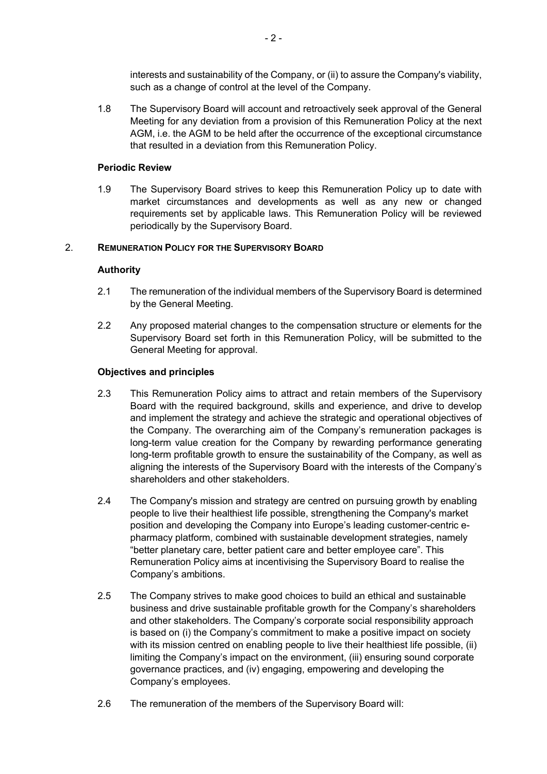interests and sustainability of the Company, or (ii) to assure the Company's viability, such as a change of control at the level of the Company.

1.8 The Supervisory Board will account and retroactively seek approval of the General Meeting for any deviation from a provision of this Remuneration Policy at the next AGM, i.e. the AGM to be held after the occurrence of the exceptional circumstance that resulted in a deviation from this Remuneration Policy.

## Periodic Review

1.9 The Supervisory Board strives to keep this Remuneration Policy up to date with market circumstances and developments as well as any new or changed requirements set by applicable laws. This Remuneration Policy will be reviewed periodically by the Supervisory Board.

# 2. REMUNERATION POLICY FOR THE SUPERVISORY BOARD

# Authority

- 2.1 The remuneration of the individual members of the Supervisory Board is determined by the General Meeting.
- 2.2 Any proposed material changes to the compensation structure or elements for the Supervisory Board set forth in this Remuneration Policy, will be submitted to the General Meeting for approval.

### Objectives and principles

- 2.3 This Remuneration Policy aims to attract and retain members of the Supervisory Board with the required background, skills and experience, and drive to develop and implement the strategy and achieve the strategic and operational objectives of the Company. The overarching aim of the Company's remuneration packages is long-term value creation for the Company by rewarding performance generating long-term profitable growth to ensure the sustainability of the Company, as well as aligning the interests of the Supervisory Board with the interests of the Company's shareholders and other stakeholders.
- 2.4 The Company's mission and strategy are centred on pursuing growth by enabling people to live their healthiest life possible, strengthening the Company's market position and developing the Company into Europe's leading customer-centric epharmacy platform, combined with sustainable development strategies, namely "better planetary care, better patient care and better employee care". This Remuneration Policy aims at incentivising the Supervisory Board to realise the Company's ambitions.
- 2.5 The Company strives to make good choices to build an ethical and sustainable business and drive sustainable profitable growth for the Company's shareholders and other stakeholders. The Company's corporate social responsibility approach is based on (i) the Company's commitment to make a positive impact on society with its mission centred on enabling people to live their healthiest life possible, (ii) limiting the Company's impact on the environment, (iii) ensuring sound corporate governance practices, and (iv) engaging, empowering and developing the Company's employees.
- 2.6 The remuneration of the members of the Supervisory Board will: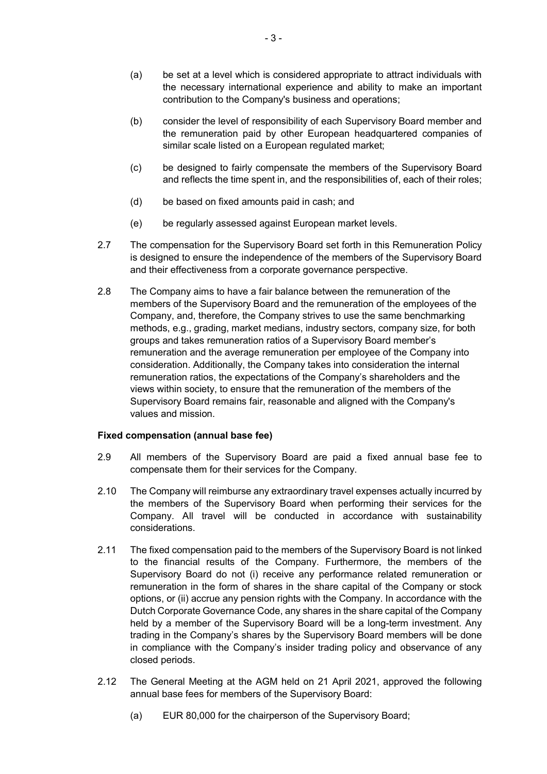- (a) be set at a level which is considered appropriate to attract individuals with the necessary international experience and ability to make an important contribution to the Company's business and operations;
- (b) consider the level of responsibility of each Supervisory Board member and the remuneration paid by other European headquartered companies of similar scale listed on a European regulated market;
- (c) be designed to fairly compensate the members of the Supervisory Board and reflects the time spent in, and the responsibilities of, each of their roles;
- (d) be based on fixed amounts paid in cash; and
- (e) be regularly assessed against European market levels.
- 2.7 The compensation for the Supervisory Board set forth in this Remuneration Policy is designed to ensure the independence of the members of the Supervisory Board and their effectiveness from a corporate governance perspective.
- 2.8 The Company aims to have a fair balance between the remuneration of the members of the Supervisory Board and the remuneration of the employees of the Company, and, therefore, the Company strives to use the same benchmarking methods, e.g., grading, market medians, industry sectors, company size, for both groups and takes remuneration ratios of a Supervisory Board member's remuneration and the average remuneration per employee of the Company into consideration. Additionally, the Company takes into consideration the internal remuneration ratios, the expectations of the Company's shareholders and the views within society, to ensure that the remuneration of the members of the Supervisory Board remains fair, reasonable and aligned with the Company's values and mission.

### Fixed compensation (annual base fee)

- 2.9 All members of the Supervisory Board are paid a fixed annual base fee to compensate them for their services for the Company.
- 2.10 The Company will reimburse any extraordinary travel expenses actually incurred by the members of the Supervisory Board when performing their services for the Company. All travel will be conducted in accordance with sustainability considerations.
- 2.11 The fixed compensation paid to the members of the Supervisory Board is not linked to the financial results of the Company. Furthermore, the members of the Supervisory Board do not (i) receive any performance related remuneration or remuneration in the form of shares in the share capital of the Company or stock options, or (ii) accrue any pension rights with the Company. In accordance with the Dutch Corporate Governance Code, any shares in the share capital of the Company held by a member of the Supervisory Board will be a long-term investment. Any trading in the Company's shares by the Supervisory Board members will be done in compliance with the Company's insider trading policy and observance of any closed periods.
- 2.12 The General Meeting at the AGM held on 21 April 2021, approved the following annual base fees for members of the Supervisory Board:
	- (a) EUR 80,000 for the chairperson of the Supervisory Board;